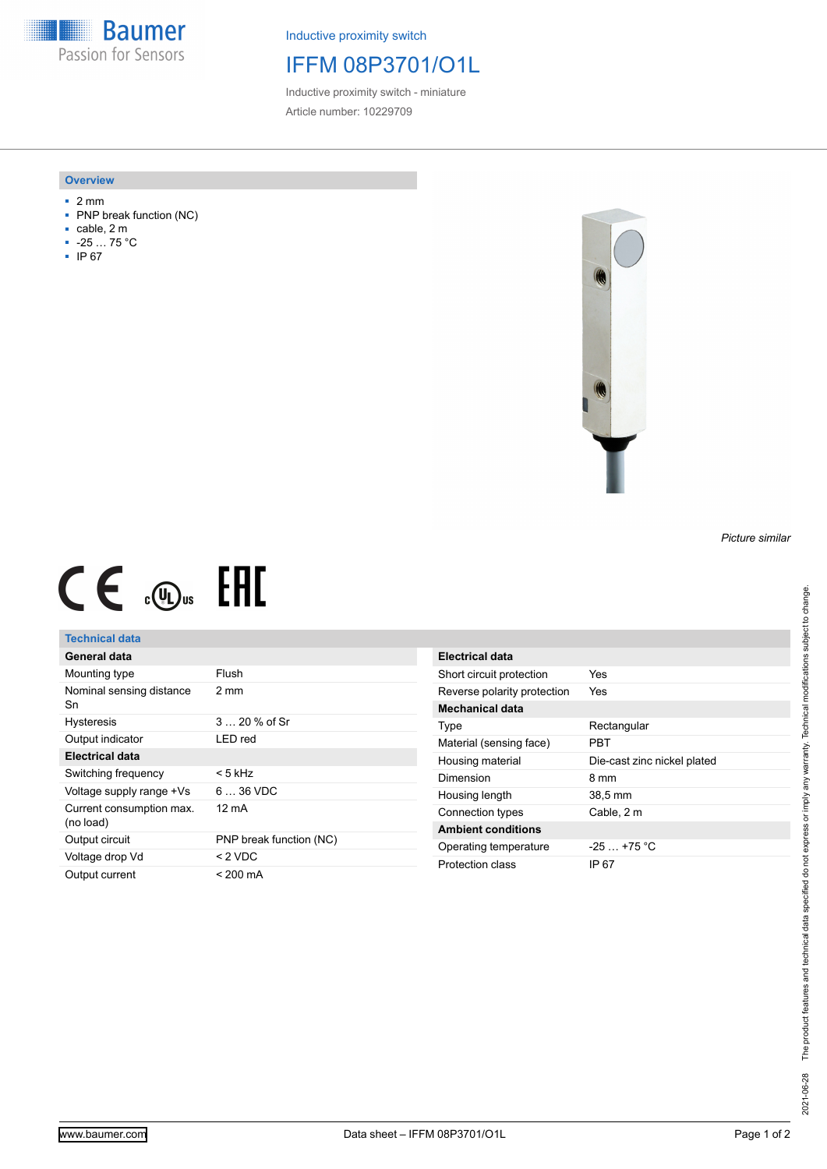**Baumer** Passion for Sensors

Inductive proximity switch

# IFFM 08P3701/O1L

Inductive proximity switch - miniature Article number: 10229709

#### **Overview**

- 2 mm
- PNP break function (NC)
- cable, 2 m
- -25 … 75 °C
- IP 67



# $CE \mathcal{L}$  .  $\mathbb{G}$ .

## **Technical data**

| General data                          |                         |
|---------------------------------------|-------------------------|
| Mounting type                         | Flush                   |
| Nominal sensing distance<br>Sn        | 2 mm                    |
| <b>Hysteresis</b>                     | 3  20 % of Sr           |
| Output indicator                      | LED red                 |
| Electrical data                       |                         |
| Switching frequency                   | < 5 kHz                 |
| Voltage supply range +Vs              | 6  36 VDC               |
| Current consumption max.<br>(no load) | 12 mA                   |
| Output circuit                        | PNP break function (NC) |
| Voltage drop Vd                       | $<$ 2 VDC               |
| Output current                        | < 200 mA                |

| Electrical data             |                             |
|-----------------------------|-----------------------------|
| Short circuit protection    | Yes                         |
| Reverse polarity protection | Yes                         |
| Mechanical data             |                             |
| Type                        | Rectangular                 |
| Material (sensing face)     | PRT                         |
| Housing material            | Die-cast zinc nickel plated |
| Dimension                   | 8 mm                        |
| Housing length              | 38,5 mm                     |
| Connection types            | Cable, 2 m                  |
| <b>Ambient conditions</b>   |                             |
| Operating temperature       | $-25 + 75$ °C               |
| Protection class            | IP 67                       |